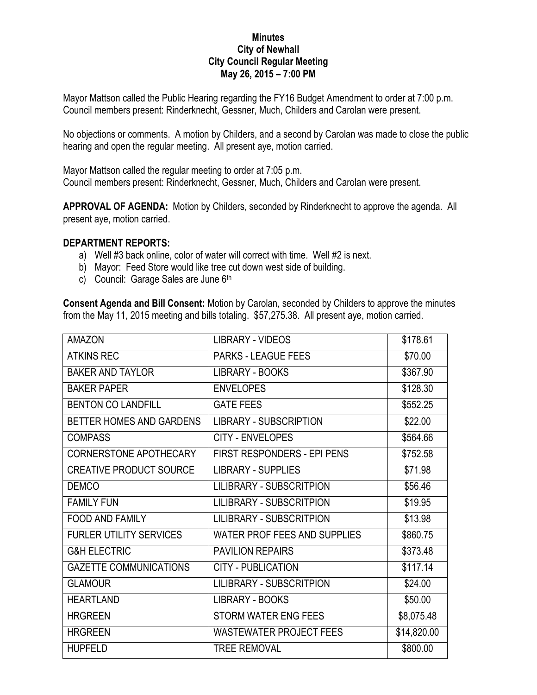## **Minutes City of Newhall City Council Regular Meeting May 26, 2015 – 7:00 PM**

Mayor Mattson called the Public Hearing regarding the FY16 Budget Amendment to order at 7:00 p.m. Council members present: Rinderknecht, Gessner, Much, Childers and Carolan were present.

No objections or comments. A motion by Childers, and a second by Carolan was made to close the public hearing and open the regular meeting. All present aye, motion carried.

Mayor Mattson called the regular meeting to order at 7:05 p.m. Council members present: Rinderknecht, Gessner, Much, Childers and Carolan were present.

**APPROVAL OF AGENDA:** Motion by Childers, seconded by Rinderknecht to approve the agenda. All present aye, motion carried.

## **DEPARTMENT REPORTS:**

- a) Well #3 back online, color of water will correct with time. Well #2 is next.
- b) Mayor: Feed Store would like tree cut down west side of building.
- c) Council: Garage Sales are June 6th

**Consent Agenda and Bill Consent:** Motion by Carolan, seconded by Childers to approve the minutes from the May 11, 2015 meeting and bills totaling. \$57,275.38. All present aye, motion carried.

| <b>AMAZON</b>                   | <b>LIBRARY - VIDEOS</b>            | \$178.61    |
|---------------------------------|------------------------------------|-------------|
| <b>ATKINS REC</b>               | <b>PARKS - LEAGUE FEES</b>         | \$70.00     |
| <b>BAKER AND TAYLOR</b>         | LIBRARY - BOOKS                    | \$367.90    |
| <b>BAKER PAPER</b>              | <b>ENVELOPES</b>                   | \$128.30    |
| <b>BENTON CO LANDFILL</b>       | <b>GATE FEES</b>                   | \$552.25    |
| <b>BETTER HOMES AND GARDENS</b> | <b>LIBRARY - SUBSCRIPTION</b>      | \$22.00     |
| <b>COMPASS</b>                  | <b>CITY - ENVELOPES</b>            | \$564.66    |
| <b>CORNERSTONE APOTHECARY</b>   | <b>FIRST RESPONDERS - EPI PENS</b> | \$752.58    |
| <b>CREATIVE PRODUCT SOURCE</b>  | <b>LIBRARY - SUPPLIES</b>          | \$71.98     |
| <b>DEMCO</b>                    | <b>LILIBRARY - SUBSCRITPION</b>    | \$56.46     |
| <b>FAMILY FUN</b>               | <b>LILIBRARY - SUBSCRITPION</b>    | \$19.95     |
| <b>FOOD AND FAMILY</b>          | <b>LILIBRARY - SUBSCRITPION</b>    | \$13.98     |
| <b>FURLER UTILITY SERVICES</b>  | WATER PROF FEES AND SUPPLIES       | \$860.75    |
| <b>G&amp;H ELECTRIC</b>         | <b>PAVILION REPAIRS</b>            | \$373.48    |
| <b>GAZETTE COMMUNICATIONS</b>   | <b>CITY - PUBLICATION</b>          | \$117.14    |
| <b>GLAMOUR</b>                  | <b>LILIBRARY - SUBSCRITPION</b>    | \$24.00     |
| <b>HEARTLAND</b>                | <b>LIBRARY - BOOKS</b>             | \$50.00     |
| <b>HRGREEN</b>                  | STORM WATER ENG FEES               | \$8,075.48  |
| <b>HRGREEN</b>                  | <b>WASTEWATER PROJECT FEES</b>     | \$14,820.00 |
| <b>HUPFELD</b>                  | <b>TREE REMOVAL</b>                | \$800.00    |